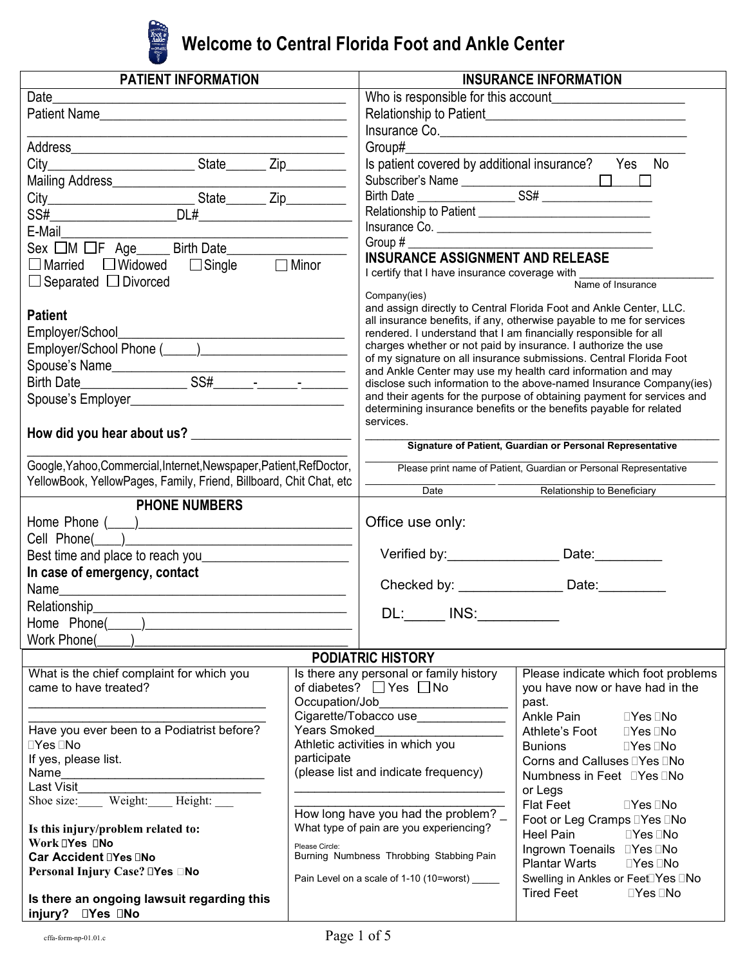

# **Welcome to Central Florida Foot and Ankle Center**

| <b>PATIENT INFORMATION</b>                                          |                                                            | <b>INSURANCE INFORMATION</b>                                                                                                             |                                                                                                                                    |  |
|---------------------------------------------------------------------|------------------------------------------------------------|------------------------------------------------------------------------------------------------------------------------------------------|------------------------------------------------------------------------------------------------------------------------------------|--|
| Date                                                                |                                                            |                                                                                                                                          |                                                                                                                                    |  |
| Patient Name                                                        |                                                            |                                                                                                                                          | Relationship to Patient <b>Exercise Server Advisory</b> Relationship                                                               |  |
| <u> 1989 - Johann John Stein, mars an deutscher Stein († 1908)</u>  |                                                            |                                                                                                                                          | Insurance Co.                                                                                                                      |  |
|                                                                     |                                                            | Group#                                                                                                                                   |                                                                                                                                    |  |
|                                                                     |                                                            |                                                                                                                                          | Is patient covered by additional insurance?  Yes  No                                                                               |  |
|                                                                     |                                                            |                                                                                                                                          |                                                                                                                                    |  |
|                                                                     |                                                            |                                                                                                                                          |                                                                                                                                    |  |
|                                                                     |                                                            | Relationship to Patient _________________________________                                                                                |                                                                                                                                    |  |
| E-Mail                                                              |                                                            | Insurance Co.                                                                                                                            |                                                                                                                                    |  |
| Sex $\Box M \Box F$ Age ______ Birth Date _____________             |                                                            |                                                                                                                                          |                                                                                                                                    |  |
| $\Box$ Married $\Box$ Widowed $\Box$ Single $\Box$ Minor            |                                                            | <b>INSURANCE ASSIGNMENT AND RELEASE</b>                                                                                                  |                                                                                                                                    |  |
| $\Box$ Separated $\Box$ Divorced                                    |                                                            | I certify that I have insurance coverage with<br>Name of Insurance                                                                       |                                                                                                                                    |  |
|                                                                     |                                                            | Company(ies)                                                                                                                             |                                                                                                                                    |  |
| <b>Patient</b>                                                      |                                                            |                                                                                                                                          | and assign directly to Central Florida Foot and Ankle Center, LLC.                                                                 |  |
| Employer/School_                                                    |                                                            | all insurance benefits, if any, otherwise payable to me for services<br>rendered. I understand that I am financially responsible for all |                                                                                                                                    |  |
|                                                                     |                                                            | charges whether or not paid by insurance. I authorize the use                                                                            |                                                                                                                                    |  |
|                                                                     |                                                            |                                                                                                                                          | of my signature on all insurance submissions. Central Florida Foot                                                                 |  |
|                                                                     |                                                            |                                                                                                                                          | and Ankle Center may use my health card information and may<br>disclose such information to the above-named Insurance Company(ies) |  |
|                                                                     |                                                            |                                                                                                                                          | and their agents for the purpose of obtaining payment for services and                                                             |  |
|                                                                     |                                                            |                                                                                                                                          | determining insurance benefits or the benefits payable for related                                                                 |  |
|                                                                     |                                                            | services.                                                                                                                                |                                                                                                                                    |  |
|                                                                     |                                                            | Signature of Patient, Guardian or Personal Representative                                                                                |                                                                                                                                    |  |
| Google, Yahoo, Commercial, Internet, Newspaper, Patient, RefDoctor, |                                                            |                                                                                                                                          | Please print name of Patient, Guardian or Personal Representative                                                                  |  |
| YellowBook, YellowPages, Family, Friend, Billboard, Chit Chat, etc  |                                                            | Date                                                                                                                                     | Relationship to Beneficiary                                                                                                        |  |
| <b>PHONE NUMBERS</b>                                                |                                                            |                                                                                                                                          |                                                                                                                                    |  |
|                                                                     |                                                            | Office use only:                                                                                                                         |                                                                                                                                    |  |
|                                                                     |                                                            |                                                                                                                                          |                                                                                                                                    |  |
|                                                                     |                                                            |                                                                                                                                          | Verified by: Date:                                                                                                                 |  |
| In case of emergency, contact                                       |                                                            |                                                                                                                                          |                                                                                                                                    |  |
| Name_<br><u> 1980 - Jan Alexandro Alexander (h. 1980).</u>          |                                                            |                                                                                                                                          | Checked by: ________________________ Date: _________                                                                               |  |
| Relationship                                                        |                                                            |                                                                                                                                          |                                                                                                                                    |  |
| Home Phone(<br><u> 1990 - Johann Barbara, martin a</u>              |                                                            | DL:______ INS:_                                                                                                                          |                                                                                                                                    |  |
| Work Phone(                                                         |                                                            |                                                                                                                                          |                                                                                                                                    |  |
|                                                                     |                                                            | <b>PODIATRIC HISTORY</b>                                                                                                                 |                                                                                                                                    |  |
| What is the chief complaint for which you                           |                                                            | Is there any personal or family history                                                                                                  | Please indicate which foot problems                                                                                                |  |
| came to have treated?                                               |                                                            | of diabetes? $\Box$ Yes $\Box$ No                                                                                                        | you have now or have had in the                                                                                                    |  |
|                                                                     |                                                            |                                                                                                                                          | past.                                                                                                                              |  |
|                                                                     |                                                            | Cigarette/Tobacco use_______________                                                                                                     | Ankle Pain<br>Yes No                                                                                                               |  |
| Have you ever been to a Podiatrist before?<br>Yes No                | <b>Years Smoked</b>                                        | Athletic activities in which you                                                                                                         | Athlete's Foot Yes No                                                                                                              |  |
| If yes, please list.                                                | participate                                                |                                                                                                                                          | <b>Bunions</b><br>Yes No<br>Corns and Calluses Yes No                                                                              |  |
|                                                                     |                                                            | (please list and indicate frequency)                                                                                                     | Numbness in Feet Yes No                                                                                                            |  |
| Last Visit                                                          |                                                            |                                                                                                                                          | or Legs                                                                                                                            |  |
| Shoe size: Weight: Height:                                          |                                                            |                                                                                                                                          | <b>Flat Feet</b><br>Yes No                                                                                                         |  |
|                                                                     |                                                            | How long have you had the problem? _<br>What type of pain are you experiencing?                                                          | Foot or Leg Cramps Yes No                                                                                                          |  |
| Is this injury/problem related to:<br>Work Yes No                   |                                                            |                                                                                                                                          | Heel Pain<br><b>Parage Strategy</b>                                                                                                |  |
| Car Accident Yes No                                                 | Please Circle:<br>Burning Numbness Throbbing Stabbing Pain |                                                                                                                                          | Ingrown Toenails Yes No                                                                                                            |  |
| Personal Injury Case? Yes □No                                       | Pain Level on a scale of 1-10 (10=worst) ______            |                                                                                                                                          | <b>Plantar Warts</b><br>Yes No                                                                                                     |  |
|                                                                     |                                                            |                                                                                                                                          | Swelling in Ankles or Feet Yes No<br><b>Tired Feet</b><br>Yes No                                                                   |  |
| Is there an ongoing lawsuit regarding this<br>Yes No<br>injury?     |                                                            |                                                                                                                                          |                                                                                                                                    |  |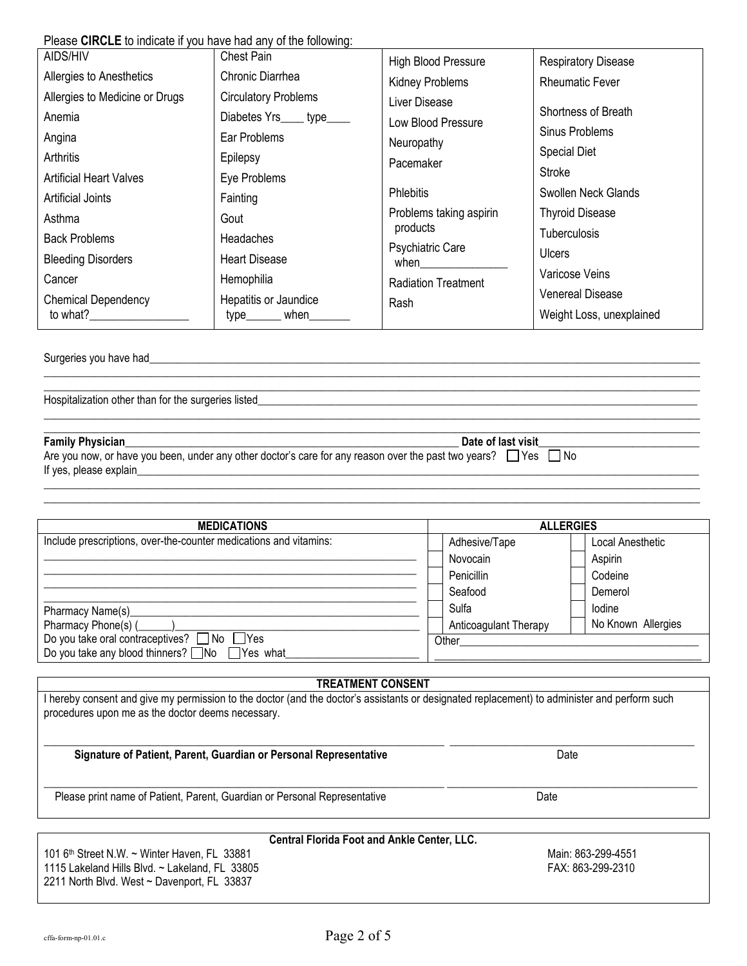| Please CIRCLE to indicate if you have had any of the following: |  |  |
|-----------------------------------------------------------------|--|--|
|-----------------------------------------------------------------|--|--|

| AIDS/HIV                       | Chest Pain                  | <b>High Blood Pressure</b>      | <b>Respiratory Disease</b> |
|--------------------------------|-----------------------------|---------------------------------|----------------------------|
| Allergies to Anesthetics       | Chronic Diarrhea            | <b>Kidney Problems</b>          | <b>Rheumatic Fever</b>     |
| Allergies to Medicine or Drugs | <b>Circulatory Problems</b> | Liver Disease                   |                            |
| Anemia                         | Diabetes Yrs____ type_      | Low Blood Pressure              | Shortness of Breath        |
| Angina                         | Ear Problems                | Neuropathy                      | Sinus Problems             |
| Arthritis                      | Epilepsy                    | Pacemaker                       | <b>Special Diet</b>        |
| <b>Artificial Heart Valves</b> | Eye Problems                |                                 | <b>Stroke</b>              |
| <b>Artificial Joints</b>       | Fainting                    | <b>Phlebitis</b>                | Swollen Neck Glands        |
| Asthma                         | Gout                        | Problems taking aspirin         | <b>Thyroid Disease</b>     |
| <b>Back Problems</b>           | <b>Headaches</b>            | products                        | <b>Tuberculosis</b>        |
| <b>Bleeding Disorders</b>      | <b>Heart Disease</b>        | <b>Psychiatric Care</b><br>when | <b>Ulcers</b>              |
| Cancer                         | Hemophilia                  | <b>Radiation Treatment</b>      | Varicose Veins             |
| <b>Chemical Dependency</b>     | Hepatitis or Jaundice       | Rash                            | <b>Venereal Disease</b>    |
| to what?                       | when<br>type_               |                                 | Weight Loss, unexplained   |
|                                |                             |                                 |                            |

 $\_$  , and the set of the set of the set of the set of the set of the set of the set of the set of the set of the set of the set of the set of the set of the set of the set of the set of the set of the set of the set of th \_\_\_\_\_\_\_\_\_\_\_\_\_\_\_\_\_\_\_\_\_\_\_\_\_\_\_\_\_\_\_\_\_\_\_\_\_\_\_\_\_\_\_\_\_\_\_\_\_\_\_\_\_\_\_\_\_\_\_\_\_\_\_\_\_\_\_\_\_\_\_\_\_\_\_\_\_\_\_\_\_\_\_\_\_\_\_\_\_\_\_\_\_\_\_\_\_\_\_\_\_\_\_\_\_\_\_\_\_\_\_\_\_\_\_\_\_\_

 $\_$  , and the set of the set of the set of the set of the set of the set of the set of the set of the set of the set of the set of the set of the set of the set of the set of the set of the set of the set of the set of th \_\_\_\_\_\_\_\_\_\_\_\_\_\_\_\_\_\_\_\_\_\_\_\_\_\_\_\_\_\_\_\_\_\_\_\_\_\_\_\_\_\_\_\_\_\_\_\_\_\_\_\_\_\_\_\_\_\_\_\_\_\_\_\_\_\_\_\_\_\_\_\_\_\_\_\_\_\_\_\_\_\_\_\_\_\_\_\_\_\_\_\_\_\_\_\_\_\_\_\_\_\_\_\_\_\_\_\_\_\_\_\_\_\_\_\_\_\_

 $\_$  , and the set of the set of the set of the set of the set of the set of the set of the set of the set of the set of the set of the set of the set of the set of the set of the set of the set of the set of the set of th \_\_\_\_\_\_\_\_\_\_\_\_\_\_\_\_\_\_\_\_\_\_\_\_\_\_\_\_\_\_\_\_\_\_\_\_\_\_\_\_\_\_\_\_\_\_\_\_\_\_\_\_\_\_\_\_\_\_\_\_\_\_\_\_\_\_\_\_\_\_\_\_\_\_\_\_\_\_\_\_\_\_\_\_\_\_\_\_\_\_\_\_\_\_\_\_\_\_\_\_\_\_\_\_\_\_\_\_\_\_\_\_\_\_\_\_\_\_

Surgeries you have had\_

Hospitalization other than for the surgeries listed\_

#### **Family Physician**\_\_\_\_\_\_\_\_\_\_\_\_\_\_\_\_\_\_\_\_\_\_\_\_\_\_\_\_\_\_\_\_\_\_\_\_\_\_\_\_\_\_\_\_\_\_\_\_\_\_\_\_\_\_\_\_\_\_\_\_ **Date of last visit**\_\_\_\_\_\_\_\_\_\_\_\_\_\_\_\_\_\_\_\_\_\_\_\_\_\_\_\_\_

Are you now, or have you been, under any other doctor's care for any reason over the past two years?  $\Box$  Yes  $\Box$  No If yes, please explain\_

| <b>MEDICATIONS</b>                                                | <b>ALLERGIES</b>             |                    |  |
|-------------------------------------------------------------------|------------------------------|--------------------|--|
| Include prescriptions, over-the-counter medications and vitamins: | Adhesive/Tape                | Local Anesthetic   |  |
|                                                                   | Novocain                     | Aspirin            |  |
|                                                                   | Penicillin                   | Codeine            |  |
|                                                                   | Seafood                      | Demerol            |  |
| Pharmacy Name(s)                                                  | Sulfa                        | Iodine             |  |
| Pharmacy Phone(s) (                                               | <b>Anticoagulant Therapy</b> | No Known Allergies |  |
| Do you take oral contraceptives? $\Box$ No $\Box$ Yes             | Other                        |                    |  |
| Do you take any blood thinners? No Yes what                       |                              |                    |  |

#### **TREATMENT CONSENT**

\_\_\_\_\_\_\_\_\_\_\_\_\_\_\_\_\_\_\_\_\_\_\_\_\_\_\_\_\_\_\_\_\_\_\_\_\_\_\_\_\_\_\_\_\_\_\_\_\_\_\_\_\_\_\_\_\_\_\_\_\_\_\_\_\_\_\_\_\_\_\_\_ \_\_\_\_\_\_\_\_\_\_\_\_\_\_\_\_\_\_\_\_\_\_\_\_\_\_\_\_\_\_\_\_\_\_\_\_\_\_\_\_\_\_\_\_

I hereby consent and give my permission to the doctor (and the doctor's assistants or designated replacement) to administer and perform such procedures upon me as the doctor deems necessary.

#### **Signature of Patient, Parent, Guardian or Personal Representative** Date

Please print name of Patient, Parent, Guardian or Personal Representative Date

#### **Central Florida Foot and Ankle Center, LLC.**

101 6<sup>th</sup> Street N.W. ~ Winter Haven, FL 33881 and Street Number 2012 101 6th Street N.W. ~ Winter Haven, FL 33881<br>1115 Lakeland Hills Blvd. ~ Lakeland, FL 33805 and Street Street Street Street Street Street Street Street 1115 Lakeland Hills Blvd. ~ Lakeland, FL 33805 2211 North Blvd. West ~ Davenport, FL 33837

 $\_$  , and the set of the set of the set of the set of the set of the set of the set of the set of the set of the set of the set of the set of the set of the set of the set of the set of the set of the set of the set of th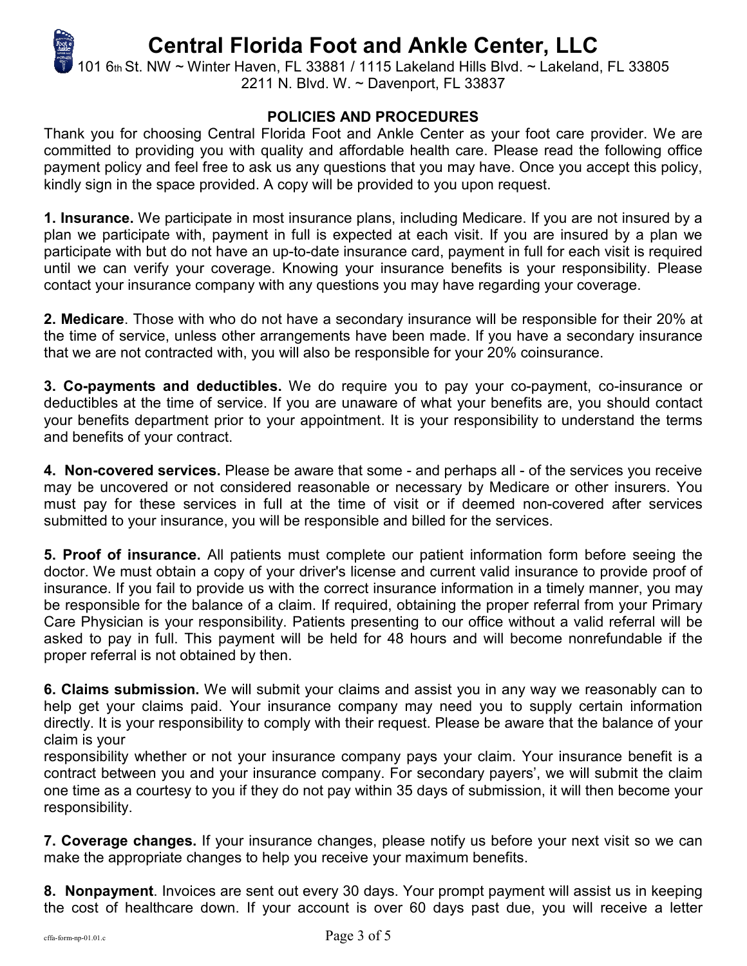# **Central Florida Foot and Ankle Center, LLC**

101 6th St. NW ~ Winter Haven, FL 33881 / 1115 Lakeland Hills Blvd. ~ Lakeland, FL 33805 2211 N. Blvd. W. ~ Davenport, FL 33837

# **POLICIES AND PROCEDURES**

Thank you for choosing Central Florida Foot and Ankle Center as your foot care provider. We are committed to providing you with quality and affordable health care. Please read the following office payment policy and feel free to ask us any questions that you may have. Once you accept this policy, kindly sign in the space provided. A copy will be provided to you upon request.

**1. Insurance.** We participate in most insurance plans, including Medicare. If you are not insured by a plan we participate with, payment in full is expected at each visit. If you are insured by a plan we participate with but do not have an up-to-date insurance card, payment in full for each visit is required until we can verify your coverage. Knowing your insurance benefits is your responsibility. Please contact your insurance company with any questions you may have regarding your coverage.

**2. Medicare**. Those with who do not have a secondary insurance will be responsible for their 20% at the time of service, unless other arrangements have been made. If you have a secondary insurance that we are not contracted with, you will also be responsible for your 20% coinsurance.

**3. Co-payments and deductibles.** We do require you to pay your co-payment, co-insurance or deductibles at the time of service. If you are unaware of what your benefits are, you should contact your benefits department prior to your appointment. It is your responsibility to understand the terms and benefits of your contract.

**4. Non-covered services.** Please be aware that some - and perhaps all - of the services you receive may be uncovered or not considered reasonable or necessary by Medicare or other insurers. You must pay for these services in full at the time of visit or if deemed non-covered after services submitted to your insurance, you will be responsible and billed for the services.

**5. Proof of insurance.** All patients must complete our patient information form before seeing the doctor. We must obtain a copy of your driver's license and current valid insurance to provide proof of insurance. If you fail to provide us with the correct insurance information in a timely manner, you may be responsible for the balance of a claim. If required, obtaining the proper referral from your Primary Care Physician is your responsibility. Patients presenting to our office without a valid referral will be asked to pay in full. This payment will be held for 48 hours and will become nonrefundable if the proper referral is not obtained by then.

**6. Claims submission.** We will submit your claims and assist you in any way we reasonably can to help get your claims paid. Your insurance company may need you to supply certain information directly. It is your responsibility to comply with their request. Please be aware that the balance of your claim is your

responsibility whether or not your insurance company pays your claim. Your insurance benefit is a contract between you and your insurance company. For secondary payers', we will submit the claim one time as a courtesy to you if they do not pay within 35 days of submission, it will then become your responsibility.

**7. Coverage changes.** If your insurance changes, please notify us before your next visit so we can make the appropriate changes to help you receive your maximum benefits.

**8. Nonpayment**. Invoices are sent out every 30 days. Your prompt payment will assist us in keeping the cost of healthcare down. If your account is over 60 days past due, you will receive a letter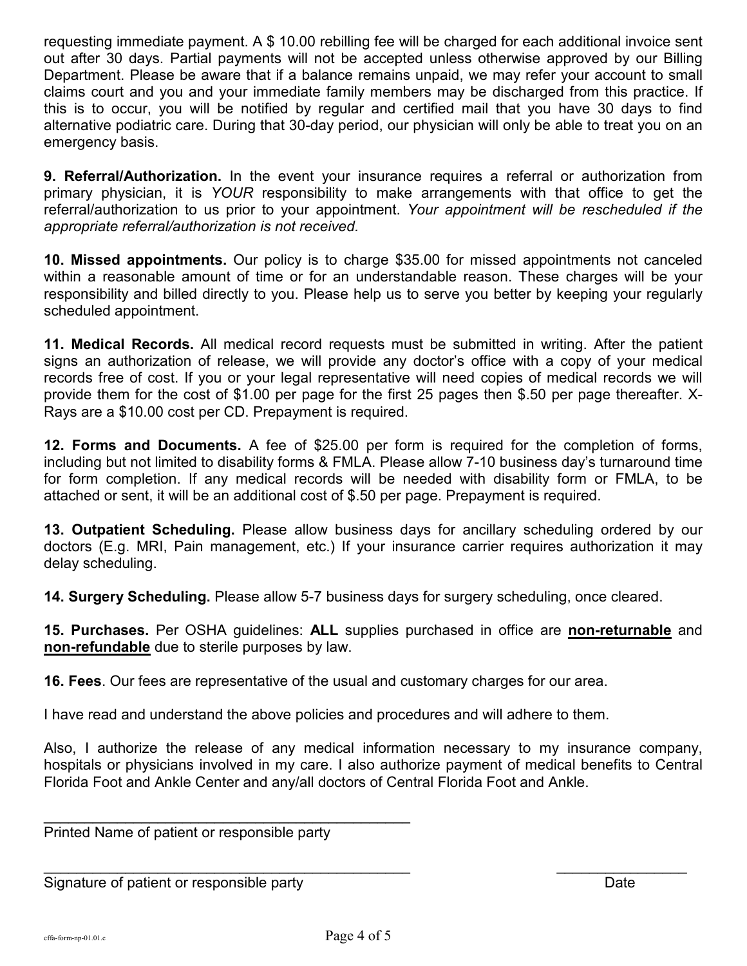requesting immediate payment. A \$ 10.00 rebilling fee will be charged for each additional invoice sent out after 30 days. Partial payments will not be accepted unless otherwise approved by our Billing Department. Please be aware that if a balance remains unpaid, we may refer your account to small claims court and you and your immediate family members may be discharged from this practice. If this is to occur, you will be notified by regular and certified mail that you have 30 days to find alternative podiatric care. During that 30-day period, our physician will only be able to treat you on an emergency basis.

**9. Referral/Authorization.** In the event your insurance requires a referral or authorization from primary physician, it is *YOUR* responsibility to make arrangements with that office to get the referral/authorization to us prior to your appointment. *Your appointment will be rescheduled if the appropriate referral/authorization is not received.*

**10. Missed appointments.** Our policy is to charge \$35.00 for missed appointments not canceled within a reasonable amount of time or for an understandable reason. These charges will be your responsibility and billed directly to you. Please help us to serve you better by keeping your regularly scheduled appointment.

**11. Medical Records.** All medical record requests must be submitted in writing. After the patient signs an authorization of release, we will provide any doctor's office with a copy of your medical records free of cost. If you or your legal representative will need copies of medical records we will provide them for the cost of \$1.00 per page for the first 25 pages then \$.50 per page thereafter. X-Rays are a \$10.00 cost per CD. Prepayment is required.

**12. Forms and Documents.** A fee of \$25.00 per form is required for the completion of forms, including but not limited to disability forms & FMLA. Please allow 7-10 business day's turnaround time for form completion. If any medical records will be needed with disability form or FMLA, to be attached or sent, it will be an additional cost of \$.50 per page. Prepayment is required.

**13. Outpatient Scheduling.** Please allow business days for ancillary scheduling ordered by our doctors (E.g. MRI, Pain management, etc.) If your insurance carrier requires authorization it may delay scheduling.

**14. Surgery Scheduling.** Please allow 5-7 business days for surgery scheduling, once cleared.

**15. Purchases.** Per OSHA guidelines: **ALL** supplies purchased in office are **non-returnable** and **non-refundable** due to sterile purposes by law.

**16. Fees**. Our fees are representative of the usual and customary charges for our area.

I have read and understand the above policies and procedures and will adhere to them.

Also, I authorize the release of any medical information necessary to my insurance company, hospitals or physicians involved in my care. I also authorize payment of medical benefits to Central Florida Foot and Ankle Center and any/all doctors of Central Florida Foot and Ankle.

Printed Name of patient or responsible party

\_\_\_\_\_\_\_\_\_\_\_\_\_\_\_\_\_\_\_\_\_\_\_\_\_\_\_\_\_\_\_\_\_\_\_\_\_\_\_\_\_\_\_\_\_